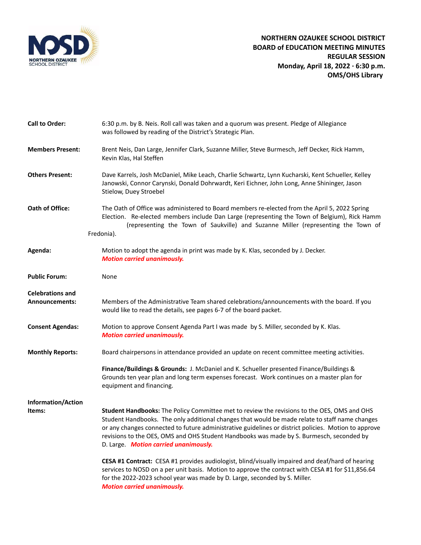

| <b>Call to Order:</b>                            | 6:30 p.m. by B. Neis. Roll call was taken and a quorum was present. Pledge of Allegiance<br>was followed by reading of the District's Strategic Plan.                                                                                                                                                                                                                                                                                      |
|--------------------------------------------------|--------------------------------------------------------------------------------------------------------------------------------------------------------------------------------------------------------------------------------------------------------------------------------------------------------------------------------------------------------------------------------------------------------------------------------------------|
| <b>Members Present:</b>                          | Brent Neis, Dan Large, Jennifer Clark, Suzanne Miller, Steve Burmesch, Jeff Decker, Rick Hamm,<br>Kevin Klas, Hal Steffen                                                                                                                                                                                                                                                                                                                  |
| <b>Others Present:</b>                           | Dave Karrels, Josh McDaniel, Mike Leach, Charlie Schwartz, Lynn Kucharski, Kent Schueller, Kelley<br>Janowski, Connor Carynski, Donald Dohrwardt, Keri Eichner, John Long, Anne Shininger, Jason<br>Stielow, Duey Stroebel                                                                                                                                                                                                                 |
| Oath of Office:                                  | The Oath of Office was administered to Board members re-elected from the April 5, 2022 Spring<br>Election. Re-elected members include Dan Large (representing the Town of Belgium), Rick Hamm<br>(representing the Town of Saukville) and Suzanne Miller (representing the Town of<br>Fredonia).                                                                                                                                           |
| Agenda:                                          | Motion to adopt the agenda in print was made by K. Klas, seconded by J. Decker.<br><b>Motion carried unanimously.</b>                                                                                                                                                                                                                                                                                                                      |
| <b>Public Forum:</b>                             | None                                                                                                                                                                                                                                                                                                                                                                                                                                       |
| <b>Celebrations and</b><br><b>Announcements:</b> | Members of the Administrative Team shared celebrations/announcements with the board. If you<br>would like to read the details, see pages 6-7 of the board packet.                                                                                                                                                                                                                                                                          |
| <b>Consent Agendas:</b>                          | Motion to approve Consent Agenda Part I was made by S. Miller, seconded by K. Klas.<br><b>Motion carried unanimously.</b>                                                                                                                                                                                                                                                                                                                  |
| <b>Monthly Reports:</b>                          | Board chairpersons in attendance provided an update on recent committee meeting activities.                                                                                                                                                                                                                                                                                                                                                |
|                                                  | Finance/Buildings & Grounds: J. McDaniel and K. Schueller presented Finance/Buildings &<br>Grounds ten year plan and long term expenses forecast. Work continues on a master plan for<br>equipment and financing.                                                                                                                                                                                                                          |
| <b>Information/Action</b>                        |                                                                                                                                                                                                                                                                                                                                                                                                                                            |
| Items:                                           | Student Handbooks: The Policy Committee met to review the revisions to the OES, OMS and OHS<br>Student Handbooks. The only additional changes that would be made relate to staff name changes<br>or any changes connected to future administrative guidelines or district policies. Motion to approve<br>revisions to the OES, OMS and OHS Student Handbooks was made by S. Burmesch, seconded by<br>D. Large. Motion carried unanimously. |
|                                                  | CESA #1 Contract: CESA #1 provides audiologist, blind/visually impaired and deaf/hard of hearing<br>services to NOSD on a per unit basis. Motion to approve the contract with CESA #1 for \$11,856.64<br>for the 2022-2023 school year was made by D. Large, seconded by S. Miller.<br><b>Motion carried unanimously.</b>                                                                                                                  |